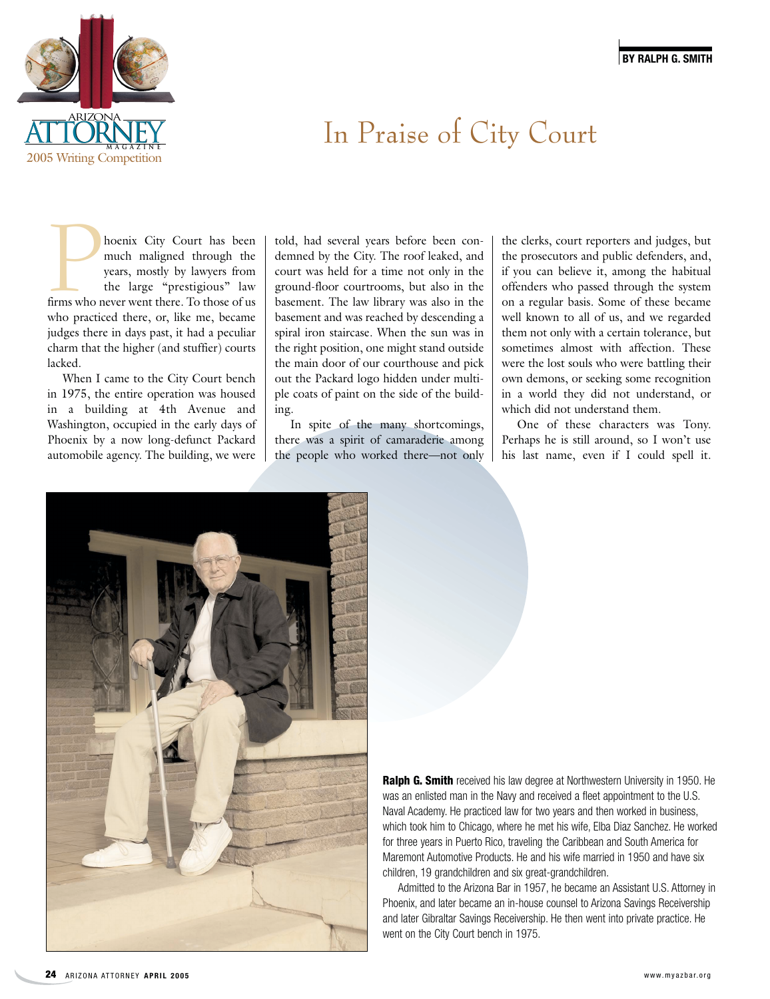

## In Praise of City Court

**Phoenix City Court has been**<br>much maligned through the<br>years, mostly by lawyers from<br>the large "prestigious" law<br>firms who never went there. To those of us much maligned through the years, mostly by lawyers from the large "prestigious" law who practiced there, or, like me, became judges there in days past, it had a peculiar charm that the higher (and stuffier) courts lacked.

When I came to the City Court bench in 1975, the entire operation was housed in a building at 4th Avenue and Washington, occupied in the early days of Phoenix by a now long-defunct Packard automobile agency. The building, we were

told, had several years before been condemned by the City. The roof leaked, and court was held for a time not only in the ground-floor courtrooms, but also in the basement. The law library was also in the basement and was reached by descending a spiral iron staircase. When the sun was in the right position, one might stand outside the main door of our courthouse and pick out the Packard logo hidden under multiple coats of paint on the side of the building.

In spite of the many shortcomings, there was a spirit of camaraderie among the people who worked there—not only

the clerks, court reporters and judges, but the prosecutors and public defenders, and, if you can believe it, among the habitual offenders who passed through the system on a regular basis. Some of these became well known to all of us, and we regarded them not only with a certain tolerance, but sometimes almost with affection. These were the lost souls who were battling their own demons, or seeking some recognition in a world they did not understand, or which did not understand them.

One of these characters was Tony. Perhaps he is still around, so I won't use his last name, even if I could spell it.



**Ralph G. Smith** received his law degree at Northwestern University in 1950. He was an enlisted man in the Navy and received a fleet appointment to the U.S. Naval Academy. He practiced law for two years and then worked in business, which took him to Chicago, where he met his wife, Elba Diaz Sanchez. He worked for three years in Puerto Rico, traveling the Caribbean and South America for Maremont Automotive Products. He and his wife married in 1950 and have six children, 19 grandchildren and six great-grandchildren.

Admitted to the Arizona Bar in 1957, he became an Assistant U.S. Attorney in Phoenix, and later became an in-house counsel to Arizona Savings Receivership and later Gibraltar Savings Receivership. He then went into private practice. He went on the City Court bench in 1975.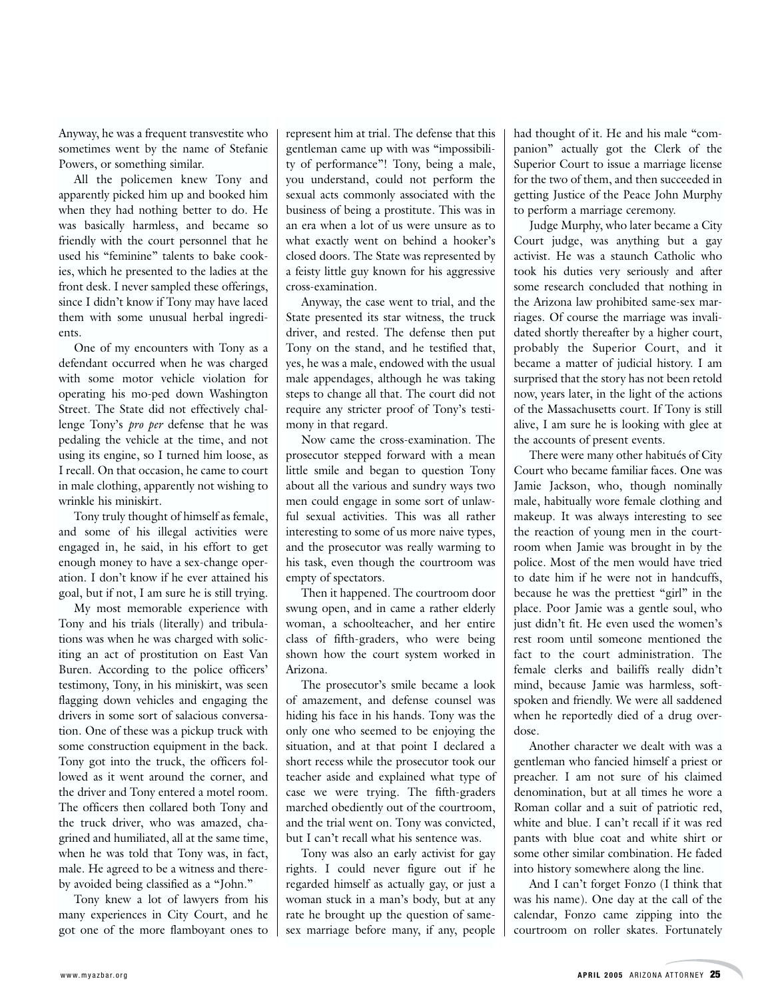Anyway, he was a frequent transvestite who sometimes went by the name of Stefanie Powers, or something similar.

All the policemen knew Tony and apparently picked him up and booked him when they had nothing better to do. He was basically harmless, and became so friendly with the court personnel that he used his "feminine" talents to bake cookies, which he presented to the ladies at the front desk. I never sampled these offerings, since I didn't know if Tony may have laced them with some unusual herbal ingredients.

One of my encounters with Tony as a defendant occurred when he was charged with some motor vehicle violation for operating his mo-ped down Washington Street. The State did not effectively challenge Tony's *pro per* defense that he was pedaling the vehicle at the time, and not using its engine, so I turned him loose, as I recall. On that occasion, he came to court in male clothing, apparently not wishing to wrinkle his miniskirt.

Tony truly thought of himself as female, and some of his illegal activities were engaged in, he said, in his effort to get enough money to have a sex-change operation. I don't know if he ever attained his goal, but if not, I am sure he is still trying.

My most memorable experience with Tony and his trials (literally) and tribulations was when he was charged with soliciting an act of prostitution on East Van Buren. According to the police officers' testimony, Tony, in his miniskirt, was seen flagging down vehicles and engaging the drivers in some sort of salacious conversation. One of these was a pickup truck with some construction equipment in the back. Tony got into the truck, the officers followed as it went around the corner, and the driver and Tony entered a motel room. The officers then collared both Tony and the truck driver, who was amazed, chagrined and humiliated, all at the same time, when he was told that Tony was, in fact, male. He agreed to be a witness and thereby avoided being classified as a "John."

Tony knew a lot of lawyers from his many experiences in City Court, and he got one of the more flamboyant ones to represent him at trial. The defense that this gentleman came up with was "impossibility of performance"! Tony, being a male, you understand, could not perform the sexual acts commonly associated with the business of being a prostitute. This was in an era when a lot of us were unsure as to what exactly went on behind a hooker's closed doors. The State was represented by a feisty little guy known for his aggressive cross-examination.

Anyway, the case went to trial, and the State presented its star witness, the truck driver, and rested. The defense then put Tony on the stand, and he testified that, yes, he was a male, endowed with the usual male appendages, although he was taking steps to change all that. The court did not require any stricter proof of Tony's testimony in that regard.

Now came the cross-examination. The prosecutor stepped forward with a mean little smile and began to question Tony about all the various and sundry ways two men could engage in some sort of unlawful sexual activities. This was all rather interesting to some of us more naive types, and the prosecutor was really warming to his task, even though the courtroom was empty of spectators.

Then it happened. The courtroom door swung open, and in came a rather elderly woman, a schoolteacher, and her entire class of fifth-graders, who were being shown how the court system worked in Arizona.

The prosecutor's smile became a look of amazement, and defense counsel was hiding his face in his hands. Tony was the only one who seemed to be enjoying the situation, and at that point I declared a short recess while the prosecutor took our teacher aside and explained what type of case we were trying. The fifth-graders marched obediently out of the courtroom, and the trial went on. Tony was convicted, but I can't recall what his sentence was.

Tony was also an early activist for gay rights. I could never figure out if he regarded himself as actually gay, or just a woman stuck in a man's body, but at any rate he brought up the question of samesex marriage before many, if any, people had thought of it. He and his male "companion" actually got the Clerk of the Superior Court to issue a marriage license for the two of them, and then succeeded in getting Justice of the Peace John Murphy to perform a marriage ceremony.

Judge Murphy, who later became a City Court judge, was anything but a gay activist. He was a staunch Catholic who took his duties very seriously and after some research concluded that nothing in the Arizona law prohibited same-sex marriages. Of course the marriage was invalidated shortly thereafter by a higher court, probably the Superior Court, and it became a matter of judicial history. I am surprised that the story has not been retold now, years later, in the light of the actions of the Massachusetts court. If Tony is still alive, I am sure he is looking with glee at the accounts of present events.

There were many other habitués of City Court who became familiar faces. One was Jamie Jackson, who, though nominally male, habitually wore female clothing and makeup. It was always interesting to see the reaction of young men in the courtroom when Jamie was brought in by the police. Most of the men would have tried to date him if he were not in handcuffs, because he was the prettiest "girl" in the place. Poor Jamie was a gentle soul, who just didn't fit. He even used the women's rest room until someone mentioned the fact to the court administration. The female clerks and bailiffs really didn't mind, because Jamie was harmless, softspoken and friendly. We were all saddened when he reportedly died of a drug overdose.

Another character we dealt with was a gentleman who fancied himself a priest or preacher. I am not sure of his claimed denomination, but at all times he wore a Roman collar and a suit of patriotic red, white and blue. I can't recall if it was red pants with blue coat and white shirt or some other similar combination. He faded into history somewhere along the line.

And I can't forget Fonzo (I think that was his name). One day at the call of the calendar, Fonzo came zipping into the courtroom on roller skates. Fortunately